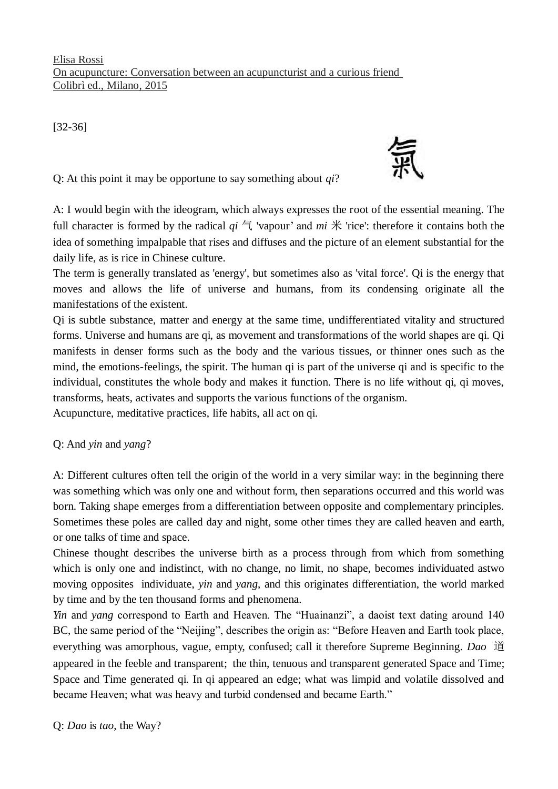Elisa Rossi On acupuncture: Conversation between an acupuncturist and a curious friend Colibrì ed., Milano, 2015

[32-36]

Q: At this point it may be opportune to say something about *qi*?

A: I would begin with the ideogram, which always expresses the root of the essential meaning. The full character is formed by the radical  $qi \in$  'vapour' and  $mi \nless$  'rice': therefore it contains both the idea of something impalpable that rises and diffuses and the picture of an element substantial for the daily life, as is rice in Chinese culture.

The term is generally translated as 'energy', but sometimes also as 'vital force'. Qi is the energy that moves and allows the life of universe and humans, from its condensing originate all the manifestations of the existent.

Qi is subtle substance, matter and energy at the same time, undifferentiated vitality and structured forms. Universe and humans are qi, as movement and transformations of the world shapes are qi. Qi manifests in denser forms such as the body and the various tissues, or thinner ones such as the mind, the emotions-feelings, the spirit. The human qi is part of the universe qi and is specific to the individual, constitutes the whole body and makes it function. There is no life without qi, qi moves, transforms, heats, activates and supports the various functions of the organism.

Acupuncture, meditative practices, life habits, all act on qi.

## Q: And *yin* and *yang*?

A: Different cultures often tell the origin of the world in a very similar way: in the beginning there was something which was only one and without form, then separations occurred and this world was born. Taking shape emerges from a differentiation between opposite and complementary principles. Sometimes these poles are called day and night, some other times they are called heaven and earth, or one talks of time and space.

Chinese thought describes the universe birth as a process through from which from something which is only one and indistinct, with no change, no limit, no shape, becomes individuated astwo moving opposites individuate, *yin* and *yang*, and this originates differentiation, the world marked by time and by the ten thousand forms and phenomena.

*Yin* and *yang* correspond to Earth and Heaven. The "Huainanzi", a daoist text dating around 140 BC, the same period of the "Neijing", describes the origin as: "Before Heaven and Earth took place, everything was amorphous, vague, empty, confused; call it therefore Supreme Beginning. *Dao* 道 appeared in the feeble and transparent; the thin, tenuous and transparent generated Space and Time; Space and Time generated qi. In qi appeared an edge; what was limpid and volatile dissolved and became Heaven; what was heavy and turbid condensed and became Earth."

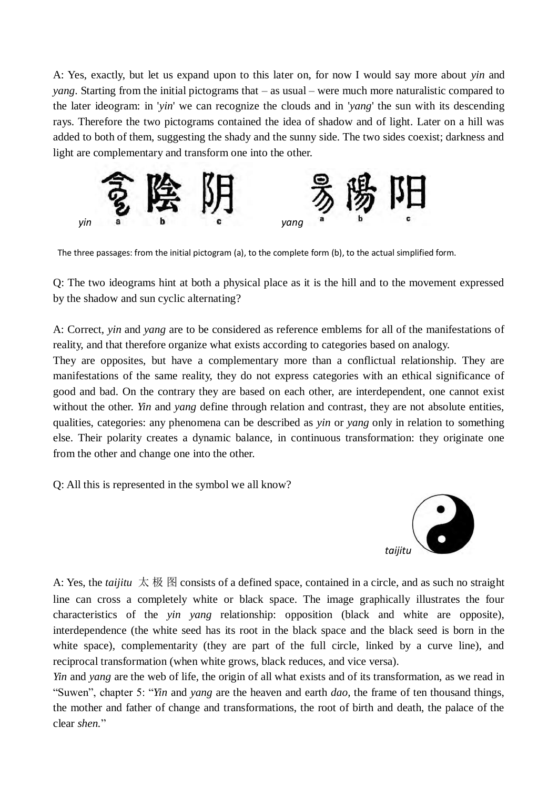A: Yes, exactly, but let us expand upon to this later on, for now I would say more about *yin* and *yang*. Starting from the initial pictograms that – as usual – were much more naturalistic compared to the later ideogram: in '*yin*' we can recognize the clouds and in '*yang*' the sun with its descending rays. Therefore the two pictograms contained the idea of shadow and of light. Later on a hill was added to both of them, suggesting the shady and the sunny side. The two sides coexist; darkness and light are complementary and transform one into the other.



The three passages: from the initial pictogram (a), to the complete form (b), to the actual simplified form.

Q: The two ideograms hint at both a physical place as it is the hill and to the movement expressed by the shadow and sun cyclic alternating?

A: Correct, *yin* and *yang* are to be considered as reference emblems for all of the manifestations of reality, and that therefore organize what exists according to categories based on analogy.

They are opposites, but have a complementary more than a conflictual relationship. They are manifestations of the same reality, they do not express categories with an ethical significance of good and bad. On the contrary they are based on each other, are interdependent, one cannot exist without the other. *Yin* and *yang* define through relation and contrast, they are not absolute entities, qualities, categories: any phenomena can be described as *yin* or *yang* only in relation to something else. Their polarity creates a dynamic balance, in continuous transformation: they originate one from the other and change one into the other.

Q: All this is represented in the symbol we all know?



A: Yes, the *taijitu* 太 极 图 consists of a defined space, contained in a circle, and as such no straight line can cross a completely white or black space. The image graphically illustrates the four characteristics of the *yin yang* relationship: opposition (black and white are opposite), interdependence (the white seed has its root in the black space and the black seed is born in the white space), complementarity (they are part of the full circle, linked by a curve line), and reciprocal transformation (when white grows, black reduces, and vice versa).

*Yin* and *yang* are the web of life, the origin of all what exists and of its transformation, as we read in "Suwen", chapter 5: "*Yin* and *yang* are the heaven and earth *dao,* the frame of ten thousand things, the mother and father of change and transformations, the root of birth and death, the palace of the clear *shen.*"